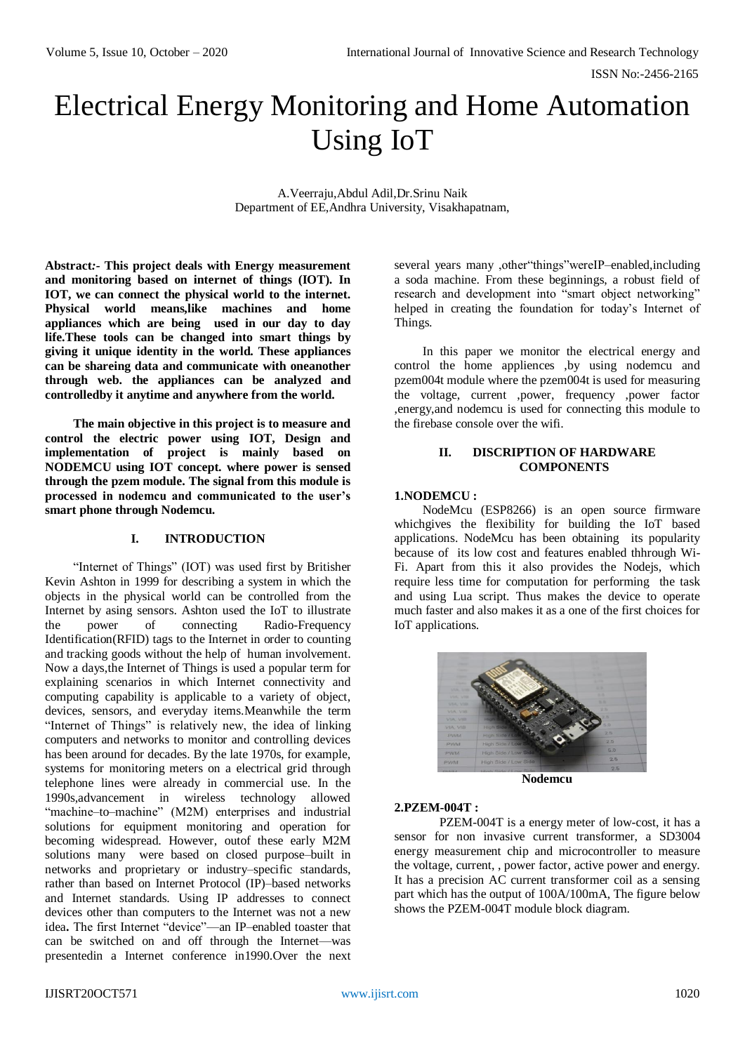ISSN No:-2456-2165

# Electrical Energy Monitoring and Home Automation Using IoT

A.Veerraju,Abdul Adil,Dr.Srinu Naik Department of EE,Andhra University, Visakhapatnam,

**Abstract***:-* **This project deals with Energy measurement and monitoring based on internet of things (IOT). In IOT, we can connect the physical world to the internet. Physical world means,like machines and home appliances which are being used in our day to day life.These tools can be changed into smart things by giving it unique identity in the world. These appliances can be shareing data and communicate with oneanother through web. the appliances can be analyzed and controlledby it anytime and anywhere from the world.**

**The main objective in this project is to measure and control the electric power using IOT, Design and implementation of project is mainly based on NODEMCU using IOT concept. where power is sensed through the pzem module. The signal from this module is processed in nodemcu and communicated to the user's smart phone through Nodemcu.**

# **I. INTRODUCTION**

"Internet of Things" (IOT) was used first by Britisher Kevin Ashton in 1999 for describing a system in which the objects in the physical world can be controlled from the Internet by asing sensors. Ashton used the IoT to illustrate the power of connecting Radio-Frequency Identification(RFID) tags to the Internet in order to counting and tracking goods without the help of human involvement. Now a days,the Internet of Things is used a popular term for explaining scenarios in which Internet connectivity and computing capability is applicable to a variety of object, devices, sensors, and everyday items.Meanwhile the term "Internet of Things" is relatively new, the idea of linking computers and networks to monitor and controlling devices has been around for decades. By the late 1970s, for example, systems for monitoring meters on a electrical grid through telephone lines were already in commercial use. In the 1990s,advancement in wireless technology allowed "machine–to–machine" (M2M) enterprises and industrial solutions for equipment monitoring and operation for becoming widespread. However, outof these early M2M solutions many were based on closed purpose–built in networks and proprietary or industry–specific standards, rather than based on Internet Protocol (IP)–based networks and Internet standards. Using IP addresses to connect devices other than computers to the Internet was not a new idea**.** The first Internet "device"—an IP–enabled toaster that can be switched on and off through the Internet—was presentedin a Internet conference in1990.Over the next

several years many ,other"things"wereIP–enabled,including a soda machine. From these beginnings, a robust field of research and development into "smart object networking" helped in creating the foundation for today's Internet of Things.

In this paper we monitor the electrical energy and control the home appliences ,by using nodemcu and pzem004t module where the pzem004t is used for measuring the voltage, current ,power, frequency ,power factor ,energy,and nodemcu is used for connecting this module to the firebase console over the wifi.

# **II. DISCRIPTION OF HARDWARE COMPONENTS**

#### **1.NODEMCU :**

NodeMcu (ESP8266) is an open source firmware whichgives the flexibility for building the IoT based applications. NodeMcu has been obtaining its popularity because of its low cost and features enabled thhrough Wi-Fi. Apart from this it also provides the Nodejs, which require less time for computation for performing the task and using Lua script. Thus makes the device to operate much faster and also makes it as a one of the first choices for IoT applications.



**Nodemcu**

# **2.PZEM-004T :**

PZEM-004T is a energy meter of low-cost, it has a sensor for non invasive current transformer, a SD3004 energy measurement chip and microcontroller to measure the voltage, current, , power factor, active power and energy. It has a precision AC current transformer coil as a sensing part which has the output of 100A/100mA, The figure below shows the PZEM-004T module block diagram.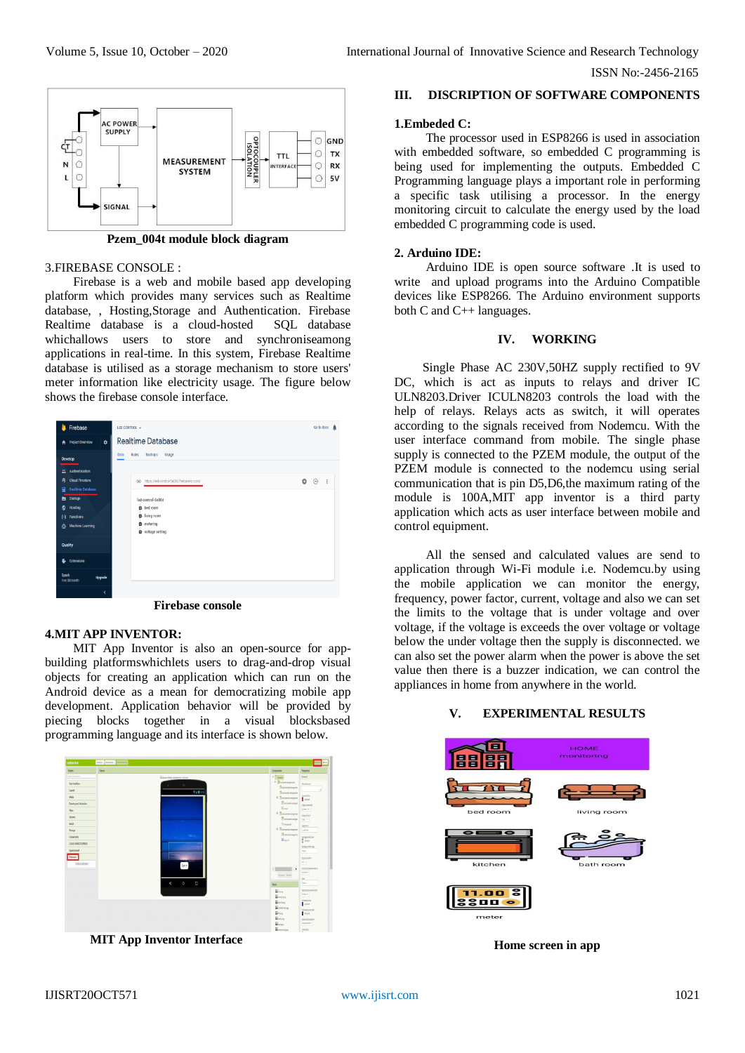ISSN No:-2456-2165



**Pzem\_004t module block diagram**

### 3.FIREBASE CONSOLE :

Firebase is a web and mobile based app developing platform which provides many services such as Realtime database, , Hosting,Storage and Authentication. Firebase Realtime database is a cloud-hosted SQL database whichallows users to store and synchroniseamong applications in real-time. In this system, Firebase Realtime database is utilised as a storage mechanism to store users' meter information like electricity usage. The figure below shows the firebase console interface.



# **4.MIT APP INVENTOR:**

MIT App Inventor is also an open-source for appbuilding platformswhichlets users to drag-and-drop visual objects for creating an application which can run on the Android device as a mean for democratizing mobile app development. Application behavior will be provided by piecing blocks together in a visual blocksbased programming language and its interface is shown below.



**MIT App Inventor Interface**

### **III. DISCRIPTION OF SOFTWARE COMPONENTS**

#### **1.Embeded C:**

The processor used in ESP8266 is used in association with embedded software, so embedded C programming is being used for implementing the outputs. Embedded C Programming language plays a important role in performing a specific task utilising a processor. In the energy monitoring circuit to calculate the energy used by the load embedded C programming code is used.

#### **2. Arduino IDE:**

Arduino IDE is open source software .It is used to write and upload programs into the Arduino Compatible devices like ESP8266. The Arduino environment supports both C and C++ languages.

#### **IV. WORKING**

Single Phase AC 230V,50HZ supply rectified to 9V DC, which is act as inputs to relays and driver IC ULN8203.Driver ICULN8203 controls the load with the help of relays. Relays acts as switch, it will operates according to the signals received from Nodemcu. With the user interface command from mobile. The single phase supply is connected to the PZEM module, the output of the PZEM module is connected to the nodemcu using serial communication that is pin D5,D6,the maximum rating of the module is 100A,MIT app inventor is a third party application which acts as user interface between mobile and control equipment.

All the sensed and calculated values are send to application through Wi-Fi module i.e. Nodemcu.by using the mobile application we can monitor the energy, frequency, power factor, current, voltage and also we can set the limits to the voltage that is under voltage and over voltage, if the voltage is exceeds the over voltage or voltage below the under voltage then the supply is disconnected. we can also set the power alarm when the power is above the set value then there is a buzzer indication, we can control the appliances in home from anywhere in the world.

# **V. EXPERIMENTAL RESULTS**



**Home screen in app**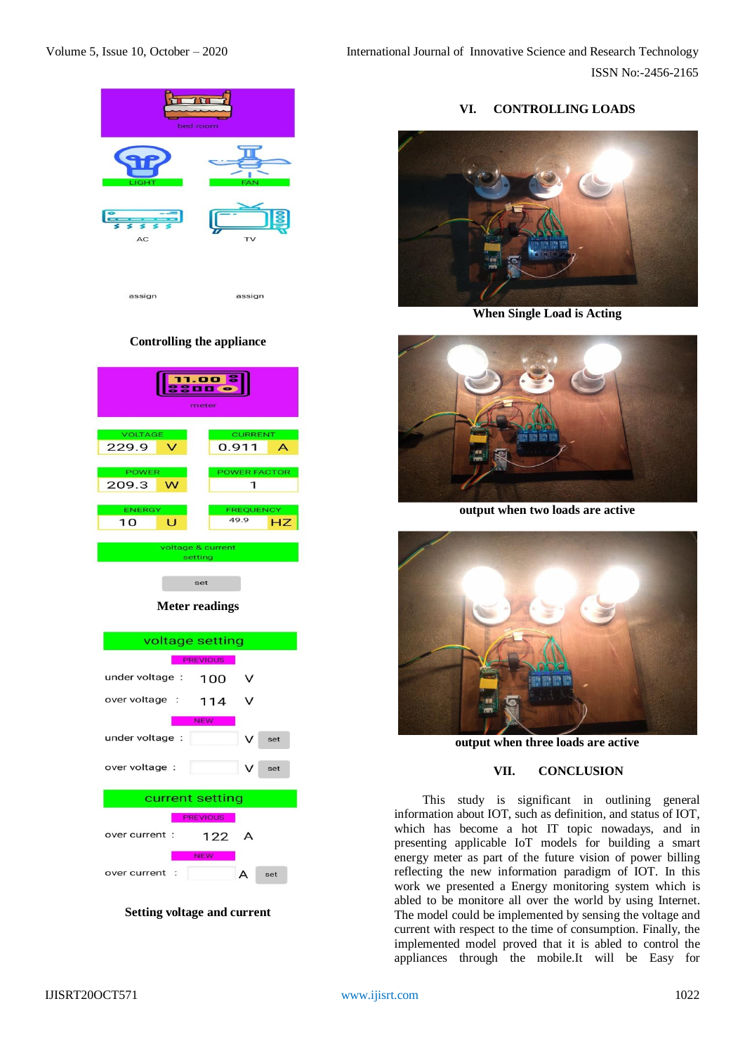Volume 5, Issue 10, October – 2020 International Journal of Innovative Science and Research Technology ISSN No:-2456-2165



# **Controlling the appliance**

| 11.00 <mark>8</mark><br>2000<br>meter |   |                     |
|---------------------------------------|---|---------------------|
| <b>VOLTAGE</b>                        |   | <b>CURRENT</b>      |
| 229.9                                 | v | 0.911<br>A          |
| <b>POWER</b>                          |   | <b>POWER FACTOR</b> |
| 209.3                                 | w |                     |
| <b>ENERGY</b>                         |   | <b>FREQUENCY</b>    |
| 10                                    | Ū | 49.9<br>HZ          |
| voltage & current<br>setting          |   |                     |
|                                       |   | set                 |

# **Meter readings**



**Setting voltage and current**

# **VI. CONTROLLING LOADS**



**When Single Load is Acting**



**output when two loads are active**



**output when three loads are active**

# **VII. CONCLUSION**

This study is significant in outlining general information about IOT, such as definition, and status of IOT, which has become a hot IT topic nowadays, and in presenting applicable IoT models for building a smart energy meter as part of the future vision of power billing reflecting the new information paradigm of IOT. In this work we presented a Energy monitoring system which is abled to be monitore all over the world by using Internet. The model could be implemented by sensing the voltage and current with respect to the time of consumption. Finally, the implemented model proved that it is abled to control the appliances through the mobile.It will be Easy for